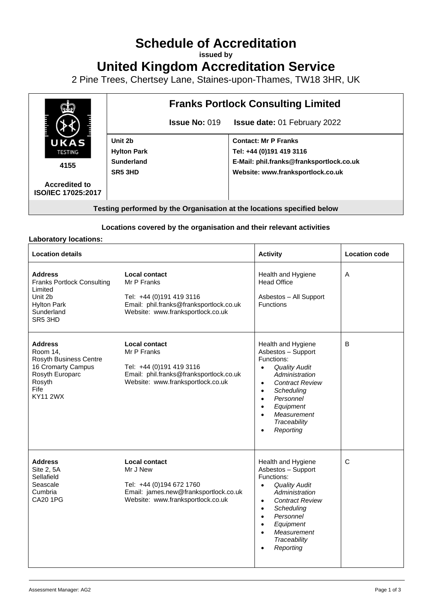# **Schedule of Accreditation**

**issued by**

**United Kingdom Accreditation Service**

2 Pine Trees, Chertsey Lane, Staines-upon-Thames, TW18 3HR, UK



**Locations covered by the organisation and their relevant activities**

#### **Laboratory locations:**

| <b>Location details</b>                                                                                                            |                                                                                                                                                 | <b>Activity</b>                                                                                                                                                                                                                                                                              | <b>Location code</b> |
|------------------------------------------------------------------------------------------------------------------------------------|-------------------------------------------------------------------------------------------------------------------------------------------------|----------------------------------------------------------------------------------------------------------------------------------------------------------------------------------------------------------------------------------------------------------------------------------------------|----------------------|
| <b>Address</b><br><b>Franks Portlock Consulting</b><br>Limited<br>Unit 2b<br><b>Hylton Park</b><br>Sunderland<br>SR5 3HD           | Local contact<br>Mr P Franks<br>Tel: +44 (0)191 419 3116<br>Email: phil.franks@franksportlock.co.uk<br>Website: www.franksportlock.co.uk        | Health and Hygiene<br><b>Head Office</b><br>Asbestos - All Support<br>Functions                                                                                                                                                                                                              | $\overline{A}$       |
| <b>Address</b><br>Room 14.<br>Rosyth Business Centre<br>16 Cromarty Campus<br>Rosyth Europarc<br>Rosyth<br>Fife<br><b>KY11 2WX</b> | <b>Local contact</b><br>Mr P Franks<br>Tel: +44 (0)191 419 3116<br>Email: phil.franks@franksportlock.co.uk<br>Website: www.franksportlock.co.uk | Health and Hygiene<br>Asbestos - Support<br>Functions:<br><b>Quality Audit</b><br>$\bullet$<br>Administration<br><b>Contract Review</b><br>$\bullet$<br>Scheduling<br>$\bullet$<br>Personnel<br>$\bullet$<br>Equipment<br>$\bullet$<br>Measurement<br>Traceability<br>Reporting<br>$\bullet$ | B                    |
| <b>Address</b><br>Site 2, 5A<br>Sellafield<br>Seascale<br>Cumbria<br><b>CA20 1PG</b>                                               | Local contact<br>Mr J New<br>Tel: +44 (0)194 672 1760<br>Email: james.new@franksportlock.co.uk<br>Website: www.franksportlock.co.uk             | Health and Hygiene<br>Asbestos - Support<br>Functions:<br><b>Quality Audit</b><br>$\bullet$<br>Administration<br><b>Contract Review</b><br>$\bullet$<br>Scheduling<br>$\bullet$<br>Personnel<br>$\bullet$<br>Equipment<br>$\bullet$<br>Measurement<br>$\bullet$<br>Traceability<br>Reporting | $\mathsf{C}$         |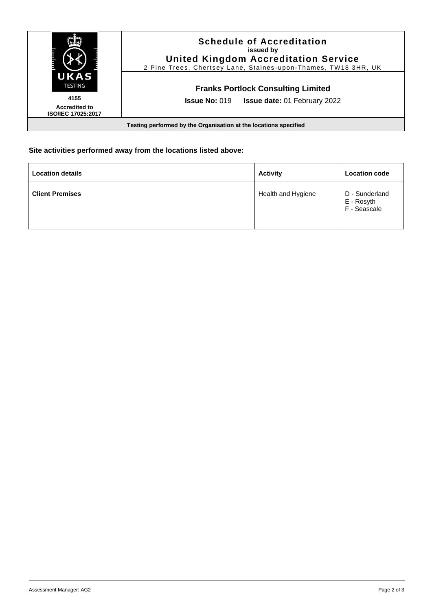|                                                                  | <b>Schedule of Accreditation</b><br>issued by<br><b>United Kingdom Accreditation Service</b><br>2 Pine Trees, Chertsey Lane, Staines-upon-Thames, TW18 3HR, UK |  |  |  |
|------------------------------------------------------------------|----------------------------------------------------------------------------------------------------------------------------------------------------------------|--|--|--|
| UKAS<br><b>TESTING</b>                                           | <b>Franks Portlock Consulting Limited</b>                                                                                                                      |  |  |  |
| 4155<br><b>Accredited to</b><br><b>ISO/IEC 17025:2017</b>        | <b>Issue No: 019</b><br><b>Issue date: 01 February 2022</b>                                                                                                    |  |  |  |
| Testing performed by the Organisation at the locations specified |                                                                                                                                                                |  |  |  |

## **Site activities performed away from the locations listed above:**

| <b>Location details</b> | <b>Activity</b>    | <b>Location code</b>                         |
|-------------------------|--------------------|----------------------------------------------|
| <b>Client Premises</b>  | Health and Hygiene | D - Sunderland<br>E - Rosyth<br>F - Seascale |